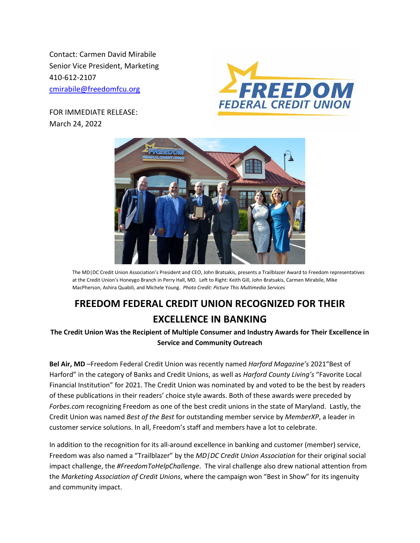Contact: Carmen David Mirabile Senior Vice President, Marketing 410-612-2107 [cmirabile@freedomfcu.org](mailto:cmirabile@freedomfcu.org)







The MD|DC Credit Union Association's President and CEO, John Bratsakis, presents a Trailblazer Award to Freedom representatives at the Credit Union's Honeygo Branch in Perry Hall, MD. Left to Right: Keith Gill, John Bratsakis, Carmen Mirabile, Mike MacPherson, Ashira Quabili, and Michele Young. *Photo Credit: Picture This Multimedia Services*

## **FREEDOM FEDERAL CREDIT UNION RECOGNIZED FOR THEIR EXCELLENCE IN BANKING**

**The Credit Union Was the Recipient of Multiple Consumer and Industry Awards for Their Excellence in Service and Community Outreach** 

**Bel Air, MD** –Freedom Federal Credit Union was recently named *Harford Magazine's* 2021"Best of Harford" in the category of Banks and Credit Unions, as well as *Harford County Living's* "Favorite Local Financial Institution" for 2021. The Credit Union was nominated by and voted to be the best by readers of these publications in their readers' choice style awards. Both of these awards were preceded by *Forbes.com* recognizing Freedom as one of the best credit unions in the state of Maryland. Lastly, the Credit Union was named *Best of the Best* for outstanding member service by *MemberXP*, a leader in customer service solutions. In all, Freedom's staff and members have a lot to celebrate.

In addition to the recognition for its all-around excellence in banking and customer (member) service, Freedom was also named a "Trailblazer" by the *MD|DC Credit Union Association* for their original social impact challenge, the *#FreedomToHelpChallenge*. The viral challenge also drew national attention from the *Marketing Association of Credit Unions*, where the campaign won "Best in Show" for its ingenuity and community impact.